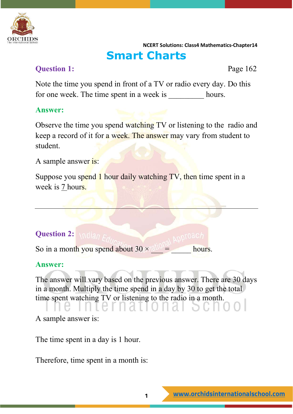

## **Smart Charts**

## **Question 1:** Page 162

Note the time you spend in front of a TV or radio every day. Do this for one week. The time spent in a week is hours.

#### **Answer:**

Observe the time you spend watching TV or listening to the radio and keep a record of it for a week. The answer may vary from student to student.

A sample answer is:

Suppose you spend 1 hour daily watching TV, then time spent in a week is 7 hours.

## **Question 2:**

So in a month you spend about  $30 \times 10^{-10}$  = hours.

## **Answer:**

The answer will vary based on the previous answer. There are 30 days in a month. Multiply the time spend in a day by 30 to get the total time spent watching TV or listening to the radio in a month.

A sample answer is:

The time spent in a day is 1 hour.

Therefore, time spent in a month is: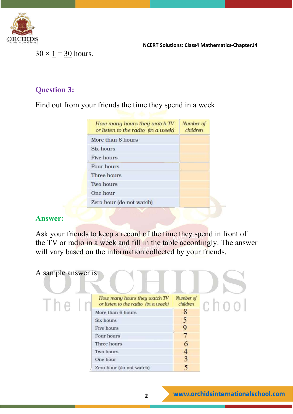

 $30 \times \underline{1} = 30$  hours.

## **Question 3:**

Find out from your friends the time they spend in a week.

| How many hours they watch TV<br>or listen to the radio (in a week) | Number of<br>children |
|--------------------------------------------------------------------|-----------------------|
| More than 6 hours                                                  |                       |
| Six hours                                                          |                       |
| Five hours                                                         |                       |
| Four hours                                                         |                       |
| Three hours                                                        |                       |
| Two hours                                                          |                       |
| One hour                                                           |                       |
| Zero hour (do not watch)                                           |                       |

#### **Answer:**

Ask your friends to keep a record of the time they spend in front of the TV or radio in a week and fill in the table accordingly. The answer will vary based on the information collected by your friends.

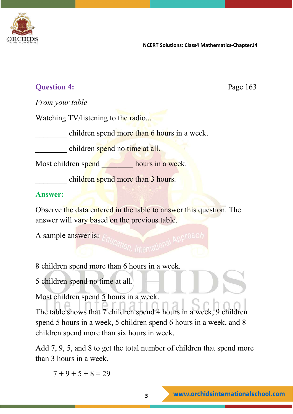

## **Question 4:** Page 163

*From your table*

Watching TV/listening to the radio...

children spend more than 6 hours in a week.

children spend no time at all.

Most children spend hours in a week.

children spend more than 3 hours.

## **Answer:**

Observe the data entered in the table to answer this question. The answer will vary based on the previous table.

A sample answer is:

8 children spend more than 6 hours in a week.

5 children spend no time at all.

Most children spend  $\frac{5}{2}$  hours in a week.

The table shows that 7 children spend 4 hours in a week, 9 children spend 5 hours in a week, 5 children spend 6 hours in a week, and 8 children spend more than six hours in week.

Add 7, 9, 5, and 8 to get the total number of children that spend more than 3 hours in a week.

 $7 + 9 + 5 + 8 = 29$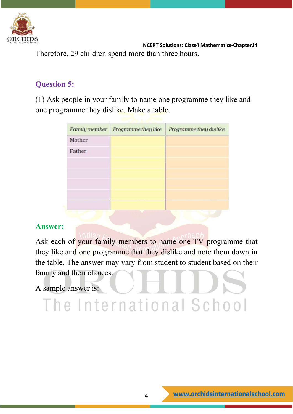

 **NCERT Solutions: Class4 Mathematics-Chapter14** Therefore, 29 children spend more than three hours.

## **Question 5:**

(1) Ask people in your family to name one programme they like and one programme they dislike. Make a table.

| Programme they like | Programme they dislike |
|---------------------|------------------------|
|                     |                        |
|                     |                        |
|                     |                        |
|                     |                        |
|                     |                        |
|                     |                        |
|                     |                        |
|                     |                        |

## **Answer:**

Ask each of your family members to name one TV programme that they like and one programme that they dislike and note them down in the table. The answer may vary from student to student based on their family and their choices.

The International School

A sample answer is: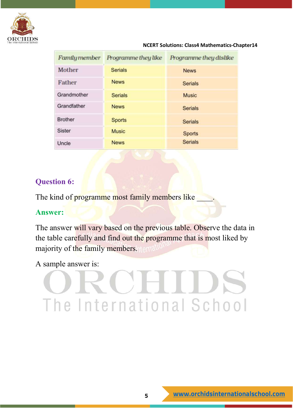

| Family member           | Programme they like | Programme they dislike |
|-------------------------|---------------------|------------------------|
| Mother                  | <b>Serials</b>      | <b>News</b>            |
| Father                  | <b>News</b>         | <b>Serials</b>         |
| Grandmother             | <b>Serials</b>      | <b>Music</b>           |
| Grandfather             | <b>News</b>         | <b>Serials</b>         |
| <b>Brother</b>          | <b>Sports</b>       | <b>Serials</b>         |
| <b>Sister</b>           | <b>Music</b>        | <b>Sports</b>          |
| $\overline{q}$<br>Uncle | <b>News</b>         | <b>Serials</b>         |

## **Question 6:**

The kind of programme most family members like

## **Answer:**

The answer will vary based on the previous table. Observe the data in the table carefully and find out the programme that is most liked by majority of the family members. Itemal

A sample answer is:

# The International School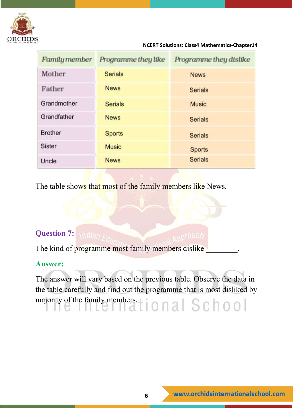

| Family member  | Programme they like | Programme they dislike |
|----------------|---------------------|------------------------|
| Mother         | <b>Serials</b>      | <b>News</b>            |
| Father         | <b>News</b>         | <b>Serials</b>         |
| Grandmother    | <b>Serials</b>      | <b>Music</b>           |
| Grandfather    | <b>News</b>         | <b>Serials</b>         |
| <b>Brother</b> | <b>Sports</b>       | <b>Serials</b>         |
| <b>Sister</b>  | <b>Music</b>        | <b>Sports</b>          |
| Uncle          | <b>News</b>         | <b>Serials</b>         |

The table shows that most of the family members like News.

## **Question 7:**

The kind of programme most family members dislike

## **Answer:**

The answer will vary based on the previous table. Observe the data in the table carefully and find out the programme that is most disliked by majority of the family members.  $\vert$  | 0 | 2 | S C | 0 0 |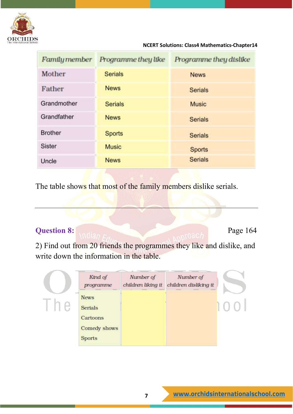

| Family member  | Programme they like | Programme they dislike |
|----------------|---------------------|------------------------|
| Mother         | <b>Serials</b>      | <b>News</b>            |
| Father         | <b>News</b>         | <b>Serials</b>         |
| Grandmother    | <b>Serials</b>      | <b>Music</b>           |
| Grandfather    | <b>News</b>         | <b>Serials</b>         |
| <b>Brother</b> | <b>Sports</b>       | <b>Serials</b>         |
| <b>Sister</b>  | <b>Music</b>        | <b>Sports</b>          |
| Uncle          | <b>News</b>         | <b>Serials</b>         |

The table shows that most of the family members dislike serials.

## **Question 8:** Page 164

2) Find out from 20 friends the programmes they like and dislike, and write down the information in the table.

| Kind of<br>programme | Number of<br>children liking it | Number of<br>children disliking it |
|----------------------|---------------------------------|------------------------------------|
| <b>News</b>          |                                 |                                    |
| <b>Serials</b>       |                                 |                                    |
| Cartoons             |                                 |                                    |
| Comedy shows         |                                 |                                    |
| <b>Sports</b>        |                                 |                                    |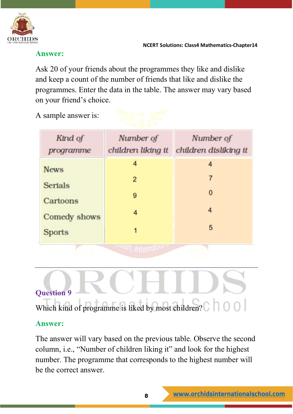

#### **Answer:**

Ask 20 of your friends about the programmes they like and dislike and keep a count of the number of friends that like and dislike the programmes. Enter the data in the table. The answer may vary based on your friend's choice.

## A sample answer is:

| Kind of<br>programme       | Number of<br>children liking it | Number of<br>children disliking it |
|----------------------------|---------------------------------|------------------------------------|
| <b>News</b>                | 4                               | 4                                  |
|                            | $\overline{2}$                  |                                    |
| <b>Serials</b><br>Cartoons | 9                               | 0                                  |
| Comedy shows               | 4                               | 4                                  |
| <b>Sports</b>              |                                 | 5                                  |
|                            |                                 |                                    |

## **Question 9**

Which kind of programme is liked by most children?  $\Box$  0 0

## **Answer:**

The answer will vary based on the previous table. Observe the second column, i.e., "Number of children liking it" and look for the highest number. The programme that corresponds to the highest number will be the correct answer.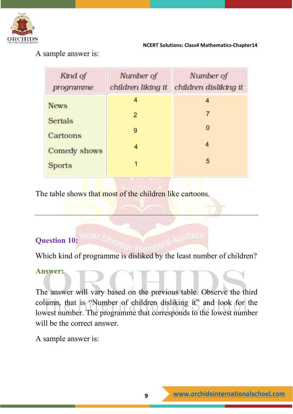

A sample answer is:

| Kind of<br>programme       | Number of<br>children liking it | Number of<br>children disliktng it |
|----------------------------|---------------------------------|------------------------------------|
| <b>News</b>                | 4                               | 4                                  |
|                            | $\overline{2}$                  | 7                                  |
| <b>Serials</b><br>Cartoons | 9                               | 0                                  |
| Comedy shows               | 4                               | 4                                  |
| <b>Sports</b>              | 1                               | 5                                  |

The table shows that most of the children like cartoons.

## **Question 10:**

Which kind of programme is disliked by the least number of children?

## **Answer:**

The answer will vary based on the previous table. Observe the third column, that is "Number of children disliking it" and look for the lowest number. The programme that corresponds to the lowest number will be the correct answer.

A sample answer is: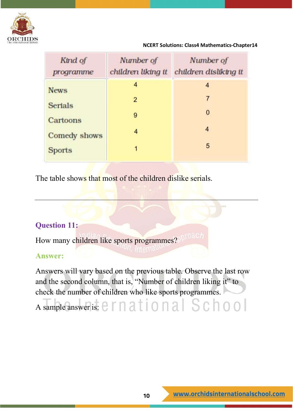

| Kind of<br>programme     | Number of<br>children liking it | Number of<br>children disliktng it |
|--------------------------|---------------------------------|------------------------------------|
| <b>News</b>              | 4                               | 4                                  |
|                          | $\overline{2}$                  | 7                                  |
| <b>Serials</b>           | 9                               | 0                                  |
| Cartoons<br>Comedy shows | 4                               | 4                                  |
| <b>Sports</b>            | 1                               | 5                                  |
|                          |                                 |                                    |

The table shows that most of the children dislike serials.

## **Question 11:**

How many children like sports programmes?

## **Answer:**

Answers will vary based on the previous table. Observe the last row and the second column, that is, "Number of children liking it" to check the number of children who like sports programmes.

# A sample answer is:  $e$   $r$  n at i o n a  $|$  Sc h o o  $|$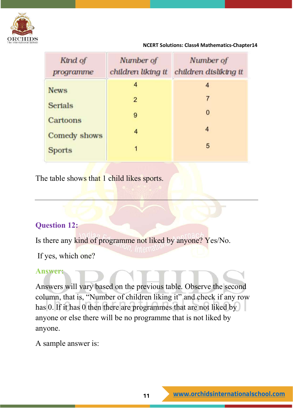

| Kind of<br>programme | Number of<br>children liking it | Number of<br>children disliktng it |
|----------------------|---------------------------------|------------------------------------|
| <b>News</b>          | 4                               | 4                                  |
|                      | $\overline{2}$                  | 7                                  |
| <b>Serials</b>       | 9                               | 0                                  |
| Cartoons             |                                 | 4                                  |
| <b>Comedy shows</b>  | 4                               |                                    |
| <b>Sports</b>        |                                 | 5                                  |

The table shows that 1 child likes sports.

## **Question 12:**

Is there any kind of programme not liked by anyone? Yes/No.

If yes, which one?

## **Answer:**

Answers will vary based on the previous table. Observe the second column, that is, "Number of children liking it" and check if any row has 0. If it has 0 then there are programmes that are not liked by anyone or else there will be no programme that is not liked by anyone.

A sample answer is: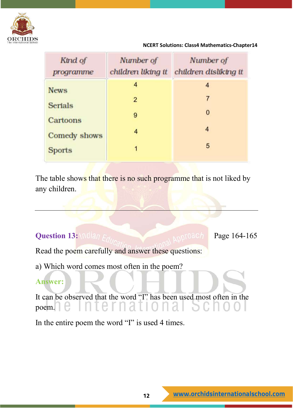

| Kind of<br>programme     | Number of<br>children liking it | Number of<br>children disliktng it |
|--------------------------|---------------------------------|------------------------------------|
| <b>News</b>              | 4                               | 4                                  |
|                          | $\overline{2}$                  | 7                                  |
| <b>Serials</b>           | 9                               | 0                                  |
| Cartoons<br>Comedy shows | 4                               | 4                                  |
| <b>Sports</b>            | 1                               | 5                                  |
|                          |                                 |                                    |

The table shows that there is no such programme that is not liked by any children.

## **Question 13:** \ndian  $F_{dd}$

Read the poem carefully and answer these questions:

a) Which word comes most often in the poem?

## **Answer:**

It can be observed that the word "I" has been used most often in the poem.

In the entire poem the word "I" is used 4 times.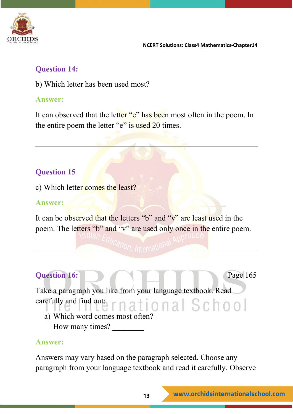

## **Question 14:**

b) Which letter has been used most?

## **Answer:**

It can observed that the letter "e" has been most often in the poem. In the entire poem the letter "e" is used 20 times.

## **Question 15**

c) Which letter comes the least?

## **Answer:**

It can be observed that the letters "b" and "v" are least used in the poem. The letters "b" and "v" are used only once in the entire poem.

## **Question 16: Page 165**

Take a paragraph you like from your language textbook. Read carefully and find out: rnational School

a) Which word comes most often? How many times?

## **Answer:**

Answers may vary based on the paragraph selected. Choose any paragraph from your language textbook and read it carefully. Observe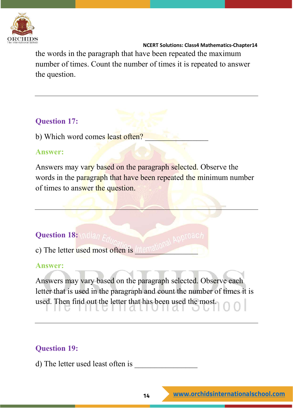

 **NCERT Solutions: Class4 Mathematics-Chapter14** the words in the paragraph that have been repeated the maximum number of times. Count the number of times it is repeated to answer the question.

## **Question 17:**

b) Which word comes least often?

## **Answer:**

Answers may vary based on the paragraph selected. Observe the words in the paragraph that have been repeated the minimum number of times to answer the question.

## **Question 18: Indian Fra**

c) The letter used most often is **The U** 

## **Answer:**

Answers may vary based on the paragraph selected. Observe each letter that is used in the paragraph and count the number of times it is used. Then find out the letter that has been used the most.

## **Question 19:**

d) The letter used least often is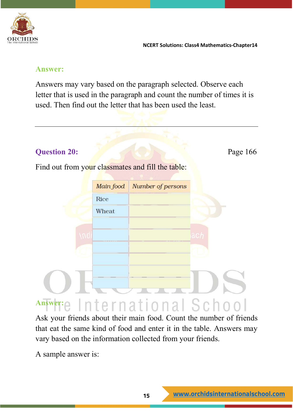

#### **Answer:**

Answers may vary based on the paragraph selected. Observe each letter that is used in the paragraph and count the number of times it is used. Then find out the letter that has been used the least.

## **Question 20:** Page 166

Find out from your classmates and fill the table:



Ask your friends about their main food. Count the number of friends that eat the same kind of food and enter it in the table. Answers may vary based on the information collected from your friends.

A sample answer is: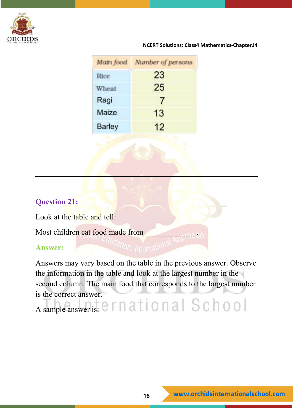

|               | Main food Number of persons |  |
|---------------|-----------------------------|--|
| Rice          | <b>SIGN</b><br>23           |  |
| Wheat         | 25                          |  |
| Ragi          |                             |  |
| Maize         | 13                          |  |
| <b>Barley</b> | 12                          |  |

## **Question 21:**

Look at the table and tell:

Most children eat food made from

## **Answer:**

Answers may vary based on the table in the previous answer. Observe the information in the table and look at the largest number in the second column. The main food that corresponds to the largest number is the correct answer.

A sample answer is:  $e$  r n ational School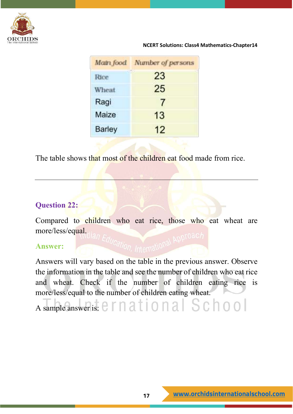

|               | Math food Number of persons |
|---------------|-----------------------------|
|               | ng n<br>23                  |
| Wheat         | 25                          |
| Ragi          | 7                           |
| Maize         | 13                          |
| <b>Barley</b> | 12                          |

The table shows that most of the children eat food made from rice.

## **Question 22:**

Compared to children who eat rice, those who eat wheat are more/less/equal.

#### **Answer:**

Answers will vary based on the table in the previous answer. Observe the information in the table and see the number of children who eat rice and wheat. Check if the number of children eating rice is more/less/equal to the number of children eating wheat.

A sample answer is:  $\epsilon$   $\Gamma$  n at i o n a  $\Gamma$  S c h o o  $\Gamma$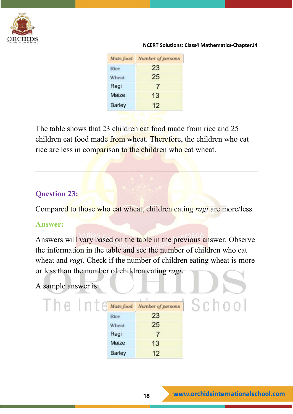

| Main food<br>Number of persons |
|--------------------------------|
| in e si<br>23                  |
| 25                             |
| 7                              |
| 13                             |
| 12                             |
|                                |

The table shows that 23 children eat food made from rice and 25 children eat food made from wheat. Therefore, the children who eat rice are less in comparison to the children who eat wheat.

## **Question 23:**

Compared to those who eat wheat, children eating *ragi* are more/less.

## **Answer:**

Answers will vary based on the table in the previous answer. Observe the information in the table and see the number of children who eat wheat and *ragi*. Check if the number of children eating wheat is more or less than the number of children eating *ragi*.

## A sample answer is:

| Main food     | Number of persons |  |
|---------------|-------------------|--|
| Rice          | (0, 0)<br>23      |  |
| Wheat         | 25                |  |
| Ragi          |                   |  |
| Maize         | 13                |  |
| <b>Barley</b> | 12                |  |

School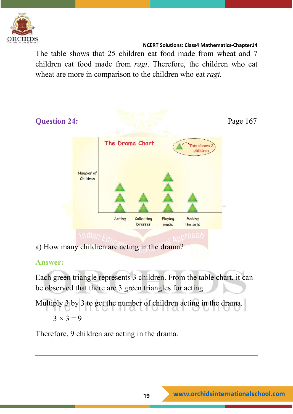

The table shows that 25 children eat food made from wheat and 7 children eat food made from *ragi*. Therefore, the children who eat wheat are more in comparison to the children who eat *ragi.*



## **Answer:**

Each green triangle represents 3 children. From the table chart, it can be observed that there are 3 green triangles for acting.

Multiply 3 by 3 to get the number of children acting in the drama.  $3 \times 3 = 9$ 

Therefore, 9 children are acting in the drama.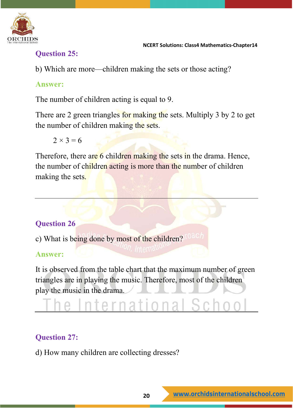

## **Question 25:**

b) Which are more—children making the sets or those acting?

## **Answer:**

The number of children acting is equal to 9.

There are 2 green triangles for making the sets. Multiply 3 by 2 to get the number of children making the sets.

 $2 \times 3 = 6$ 

Therefore, there are 6 children making the sets in the drama. Hence, the number of children acting is more than the number of children making the sets.

## **Question 26**

c) What is being done by most of the children?

## **Answer:**

It is observed from the table chart that the maximum number of green triangles are in playing the music. Therefore, most of the children play the music in the drama.

# rnational

## **Question 27:**

d) How many children are collecting dresses?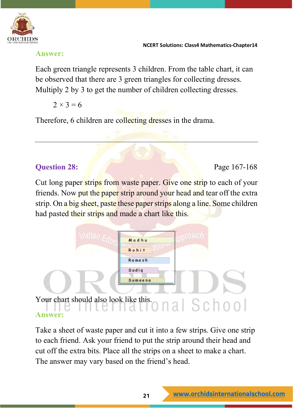

#### **Answer:**

Each green triangle represents 3 children. From the table chart, it can be observed that there are 3 green triangles for collecting dresses. Multiply 2 by 3 to get the number of children collecting dresses.

 $2 \times 3 = 6$ 

Therefore, 6 children are collecting dresses in the drama.

## **Question 28: Page 167-168**

Cut long paper strips from waste paper. Give one strip to each of your friends. Now put the paper strip around your head and tear off the extra strip. On a big sheet, paste these paper strips along a line. Some children had pasted their strips and made a chart like this.



Take a sheet of waste paper and cut it into a few strips. Give one strip to each friend. Ask your friend to put the strip around their head and cut off the extra bits. Place all the strips on a sheet to make a chart. The answer may vary based on the friend's head.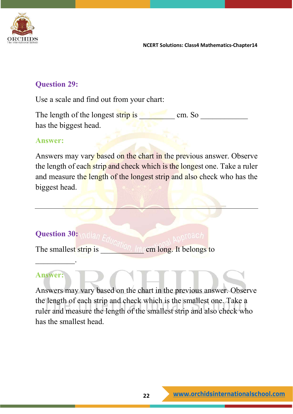

## **Question 29:**

Use a scale and find out from your chart:

The length of the longest strip is  $\Box$  cm. So has the biggest head.

#### **Answer:**

Answers may vary based on the chart in the previous answer. Observe the length of each strip and check which is the longest one. Take a ruler and measure the length of the longest strip and also check who has the biggest head.

## **Question 30:**

The smallest strip is **The smallest strip is The cm long.** It belongs to

## **Answer:**

 $\overline{\phantom{a}}$ 

Answers may vary based on the chart in the previous answer. Observe the length of each strip and check which is the smallest one. Take a ruler and measure the length of the smallest strip and also check who has the smallest head.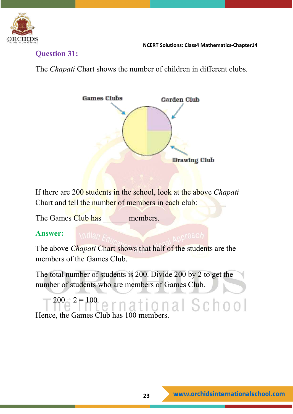

**Question 31:**

The *Chapati* Chart shows the number of children in different clubs.



If there are 200 students in the school, look at the above *Chapati*  Chart and tell the number of members in each club:

The Games Club has members.

## **Answer:**

The above *Chapati* Chart shows that half of the students are the members of the Games Club.

The total number of students is 200. Divide 200 by 2 to get the number of students who are members of Games Club.

 $200 \frac{1}{2}$ <sup>2</sup>  $\frac{100}{2}$  ernational School Hence, the Games Club has 100 members.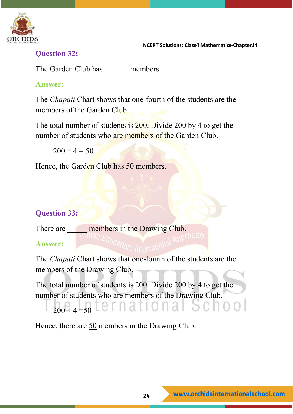

## **Question 32:**

The Garden Club has members.

## **Answer:**

The *Chapati* Chart shows that one-fourth of the students are the members of the Garden Club.

The total number of students is 200. Divide 200 by 4 to get the number of students who are members of the Garden Club.

 $200 \div 4 = 50$ 

Hence, the Garden Club has 50 members.

## **Question 33:**

There are **members** in the Drawing Club. **Answer:**

The *Chapati* Chart shows that one-fourth of the students are the members of the Drawing Club.

The total number of students is 200. Divide 200 by 4 to get the number of students who are members of the Drawing Club.

# $200 \div 4 = 50$  [e r n a t i o n a i

Hence, there are 50 members in the Drawing Club.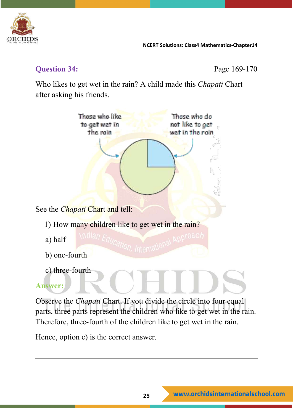

## **Question 34: Page 169-170**

Who likes to get wet in the rain? A child made this *Chapati* Chart after asking his friends.



parts, three parts represent the children who like to get wet in the rain. Therefore, three-fourth of the children like to get wet in the rain.

Hence, option c) is the correct answer.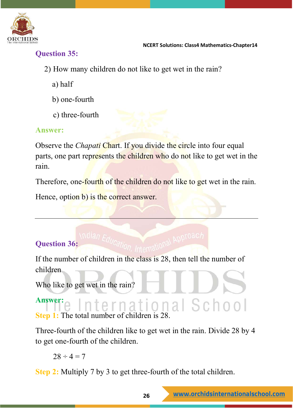

## **Question 35:**

- 2) How many children do not like to get wet in the rain?
	- a) half
	- b) one-fourth
	- c) three-fourth

## **Answer:**

Observe the *Chapati* Chart. If you divide the circle into four equal parts, one part represents the children who do not like to get wet in the rain.

Therefore, one-fourth of the children do not like to get wet in the rain.

Hence, option b) is the correct answer.

## **Question 36:**

If the number of children in the class is 28, then tell the number of children

Who like to get wet in the rain?

**Answer:** International School **Step 1:** The total number of children is 28.

Three-fourth of the children like to get wet in the rain. Divide 28 by 4 to get one-fourth of the children.

 $28 \div 4 = 7$ 

**Step 2:** Multiply 7 by 3 to get three-fourth of the total children.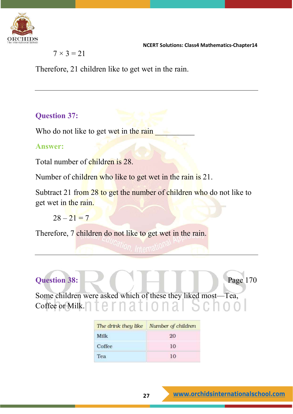

 $7 \times 3 = 21$ 

Therefore, 21 children like to get wet in the rain.

## **Question 37:**

Who do not like to get wet in the rain

## **Answer:**

Total number of children is 28.

Number of children who like to get wet in the rain is 21.

Subtract 21 from 28 to get the number of children who do not like to get wet in the rain.

 $28 - 21 = 7$ 

Therefore, 7 children do not like to get wet in the rain.

## **Question 38:** Page 170

Some children were asked which of these they liked most—Tea, Coffee or Milk.

| The drink they like Number of children |    |
|----------------------------------------|----|
| Milk                                   | 20 |
| Coffee                                 | 10 |
| Tea                                    | 10 |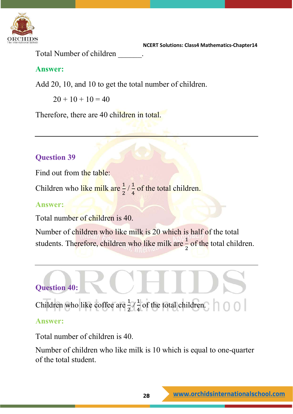

Total Number of children \_\_\_\_\_\_.

## **Answer:**

Add 20, 10, and 10 to get the total number of children.

 $20 + 10 + 10 = 40$ 

Therefore, there are 40 children in total.

## **Question 39**

Find out from the table:

Children who like milk are  $\frac{1}{2}$ 2  $\frac{1}{4}$ 4 of the total children.

## **Answer:**

Total number of children is 40.

Number of children who like milk is 20 which is half of the total students. Therefore, children who like milk are  $\frac{1}{2}$ 2 of the total children.



Children who like coffee are  $\frac{1}{2}$ 2  $\frac{1}{4}$ 4 of the total children.

## **Answer:**

Total number of children is 40.

Number of children who like milk is 10 which is equal to one-quarter of the total student.